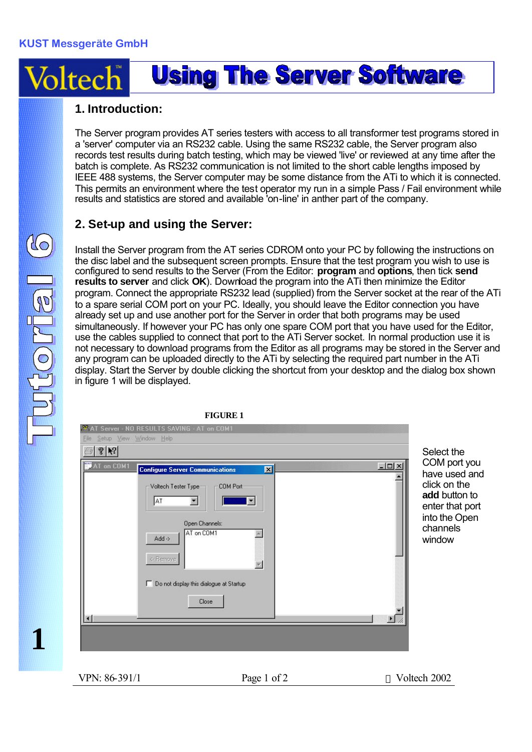## **Using The Server Software** Voltecl

## **1. Introduction:**

The Server program provides AT series testers with access to all transformer test programs stored in a 'server' computer via an RS232 cable. Using the same RS232 cable, the Server program also records test results during batch testing, which may be viewed 'live' or reviewed at any time after the batch is complete. As RS232 communication is not limited to the short cable lengths imposed by IEEE 488 systems, the Server computer may be some distance from the ATi to which it is connected. This permits an environment where the test operator my run in a simple Pass / Fail environment while results and statistics are stored and available 'on-line' in anther part of the company.

## **2. Set-up and using the Server:**

Install the Server program from the AT series CDROM onto your PC by following the instructions on the disc label and the subsequent screen prompts. Ensure that the test program you wish to use is configured to send results to the Server (From the Editor: **program** and **options**, then tick **send results to server** and click **OK**). Download the program into the ATi then minimize the Editor program. Connect the appropriate RS232 lead (supplied) from the Server socket at the rear of the ATi to a spare serial COM port on your PC. Ideally, you should leave the Editor connection you have already set up and use another port for the Server in order that both programs may be used simultaneously. If however your PC has only one spare COM port that you have used for the Editor, use the cables supplied to connect that port to the ATi Server socket. In normal production use it is not necessary to download programs from the Editor as all programs may be stored in the Server and any program can be uploaded directly to the ATi by selecting the required part number in the ATi display. Start the Server by double clicking the shortcut from your desktop and the dialog box shown in figure 1 will be displayed.



**1**

Itorial